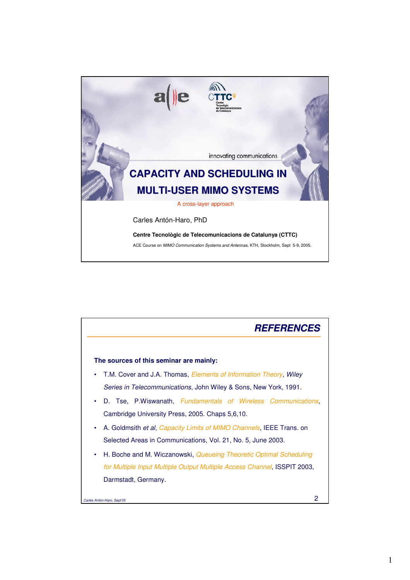

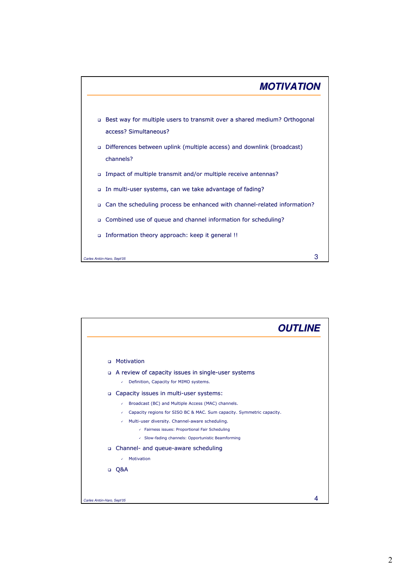

|                            | <b>OUTLINE</b>                                                             |
|----------------------------|----------------------------------------------------------------------------|
|                            |                                                                            |
| $\Box$                     | Motivation                                                                 |
| $\Box$                     | A review of capacity issues in single-user systems                         |
|                            | Definition, Capacity for MIMO systems.<br>↙                                |
| $\Box$                     | Capacity issues in multi-user systems:                                     |
|                            | Broadcast (BC) and Multiple Access (MAC) channels.<br>✓                    |
|                            | Capacity regions for SISO BC & MAC. Sum capacity. Symmetric capacity.<br>✓ |
|                            | Multi-user diversity. Channel-aware scheduling.<br>✓                       |
|                            | Fairness issues: Proportional Fair Scheduling                              |
|                            | ← Slow-fading channels: Opportunistic Beamforming                          |
|                            | □ Channel- and queue-aware scheduling                                      |
|                            | Motivation                                                                 |
|                            | □ 0&A                                                                      |
|                            |                                                                            |
|                            |                                                                            |
| Carles Antón-Haro, Sept'05 |                                                                            |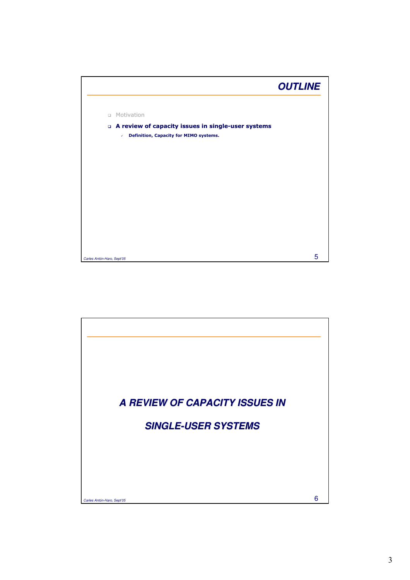

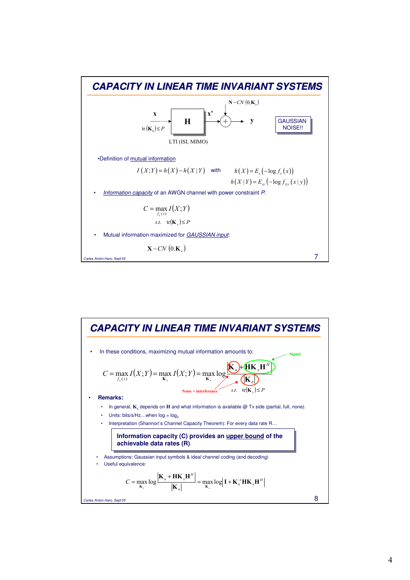

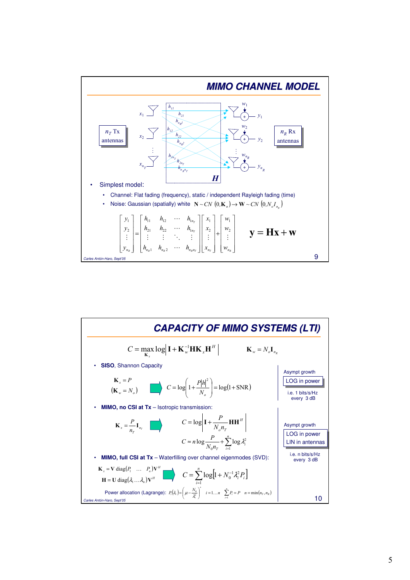

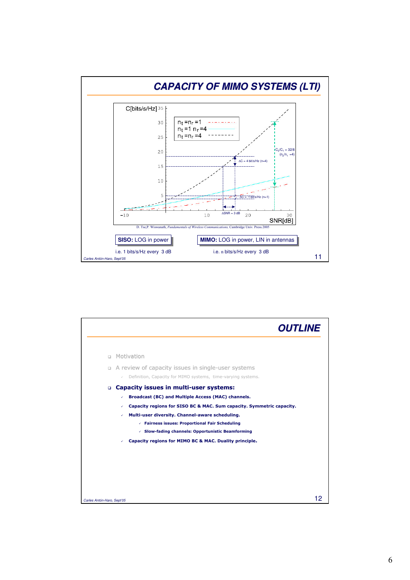

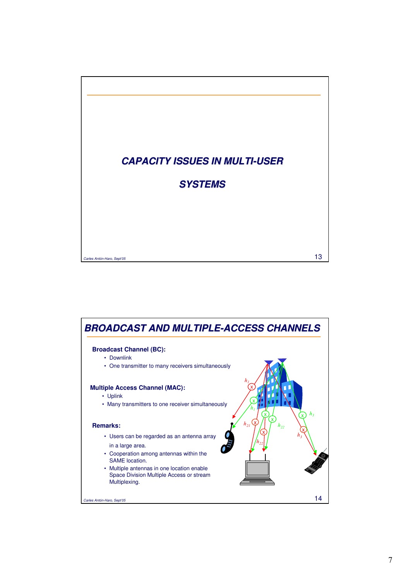

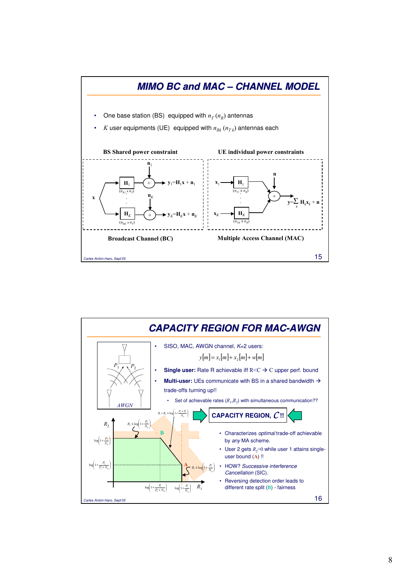

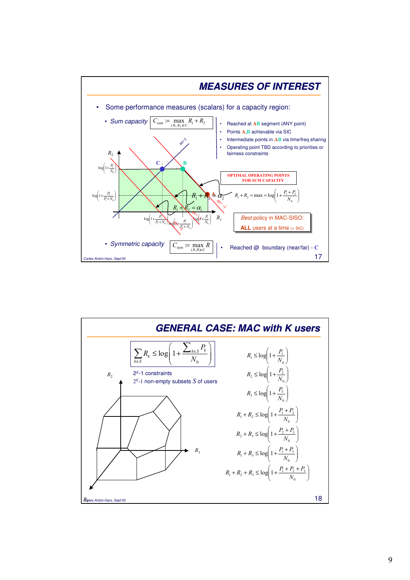

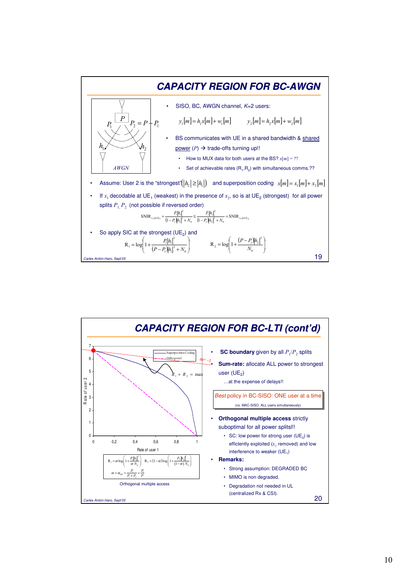

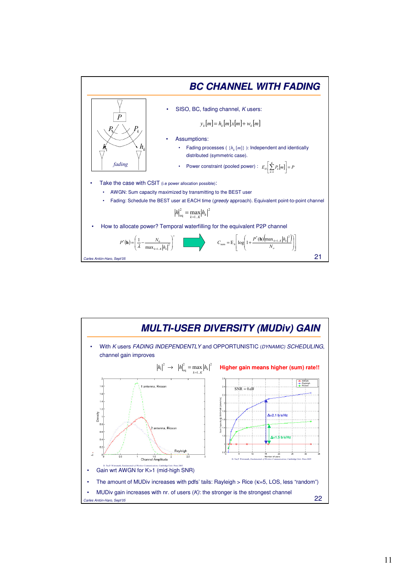

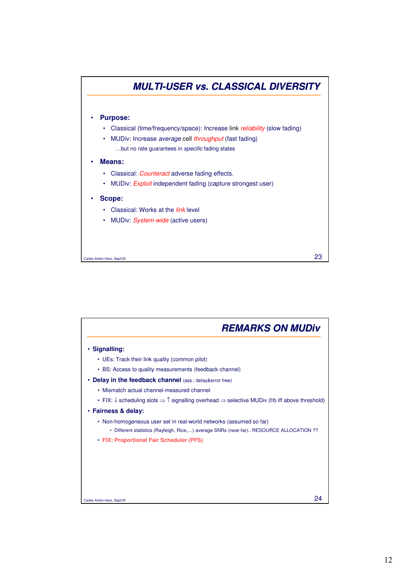

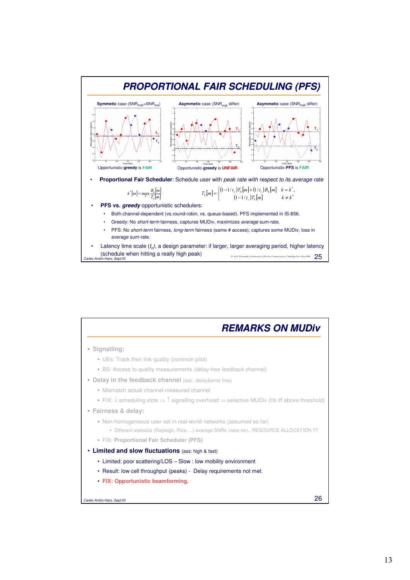

| <b>REMARKS ON MUDiv</b>                                                                                                          |
|----------------------------------------------------------------------------------------------------------------------------------|
| · Signalling:                                                                                                                    |
| • UEs: Track their link quality (common pilot)                                                                                   |
| • BS: Access to quality measurements (delay-free feedback channel)                                                               |
| • Delay in the feedback channel (ass.: delay&error free)                                                                         |
| • Mismatch actual channel-measured channel                                                                                       |
| • FIX: $\downarrow$ scheduling slots $\Rightarrow$ T signalling overhead $\Rightarrow$ selective MUDiv (f/b iff above threshold) |
| · Fairness & delay:                                                                                                              |
| • Non-homogeneous user set in real-world networks (assumed so far)                                                               |
| • Different statistics (Rayleigh, Rice) average SNRs (near-far) RESOURCE ALLOCATION ??                                           |
| • FIX: Proportional Fair Scheduler (PFS)                                                                                         |
| • Limited and slow fluctuations (ass: high & fast)                                                                               |
| • Limited: poor scattering/LOS – Slow: low mobility environment                                                                  |
| • Result: low cell throughput (peaks) - Delay requirements not met.                                                              |
| • FIX: Opportunistic beamforming.                                                                                                |
|                                                                                                                                  |
| 26<br>Carles Antón-Haro, Sept'05                                                                                                 |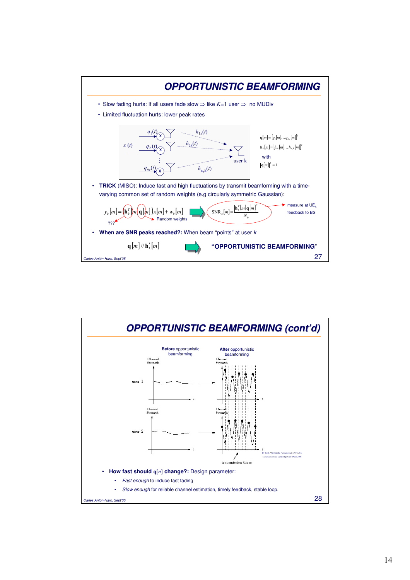

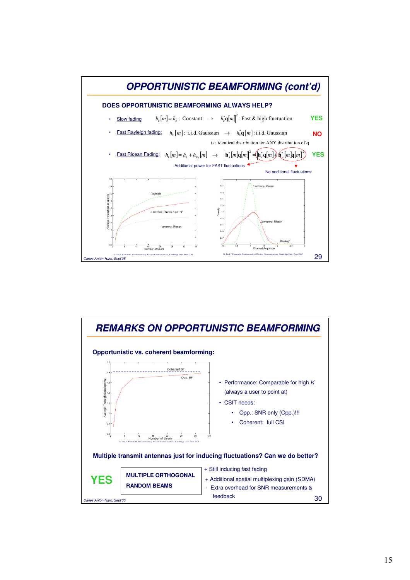

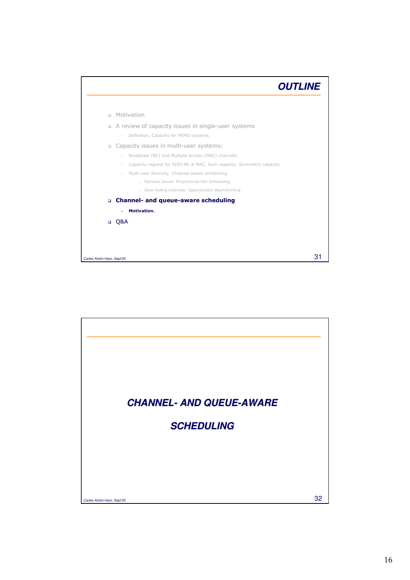| Motivation<br>$\Box$<br>A review of capacity issues in single-user systems<br>$\Box$<br>Definition, Capacity for MIMO systems.<br>$\checkmark$<br>Capacity issues in multi-user systems:<br>o<br>Broadcast (BC) and Multiple Access (MAC) channels.<br>$\checkmark$<br>Capacity regions for SISO BC & MAC. Sum capacity. Symmetric capacity.<br>$\checkmark$<br>Multi-user diversity. Channel-aware scheduling.<br>$\checkmark$<br>$\checkmark$ Fairness issues: Proportional Fair Scheduling<br>$\checkmark$ Slow-fading channels: Opportunistic Beamforming<br><b>Channel- and queue-aware scheduling</b><br>$\Box$<br>Motivation.<br>✓<br>Q&A |                            | <b>OUTLINE</b> |
|--------------------------------------------------------------------------------------------------------------------------------------------------------------------------------------------------------------------------------------------------------------------------------------------------------------------------------------------------------------------------------------------------------------------------------------------------------------------------------------------------------------------------------------------------------------------------------------------------------------------------------------------------|----------------------------|----------------|
|                                                                                                                                                                                                                                                                                                                                                                                                                                                                                                                                                                                                                                                  |                            |                |
|                                                                                                                                                                                                                                                                                                                                                                                                                                                                                                                                                                                                                                                  |                            |                |
|                                                                                                                                                                                                                                                                                                                                                                                                                                                                                                                                                                                                                                                  |                            |                |
|                                                                                                                                                                                                                                                                                                                                                                                                                                                                                                                                                                                                                                                  |                            |                |
|                                                                                                                                                                                                                                                                                                                                                                                                                                                                                                                                                                                                                                                  |                            |                |
|                                                                                                                                                                                                                                                                                                                                                                                                                                                                                                                                                                                                                                                  |                            |                |
|                                                                                                                                                                                                                                                                                                                                                                                                                                                                                                                                                                                                                                                  |                            |                |
|                                                                                                                                                                                                                                                                                                                                                                                                                                                                                                                                                                                                                                                  |                            |                |
|                                                                                                                                                                                                                                                                                                                                                                                                                                                                                                                                                                                                                                                  |                            |                |
|                                                                                                                                                                                                                                                                                                                                                                                                                                                                                                                                                                                                                                                  |                            |                |
|                                                                                                                                                                                                                                                                                                                                                                                                                                                                                                                                                                                                                                                  |                            |                |
|                                                                                                                                                                                                                                                                                                                                                                                                                                                                                                                                                                                                                                                  | Carles Antón-Haro, Sept'05 | З.             |